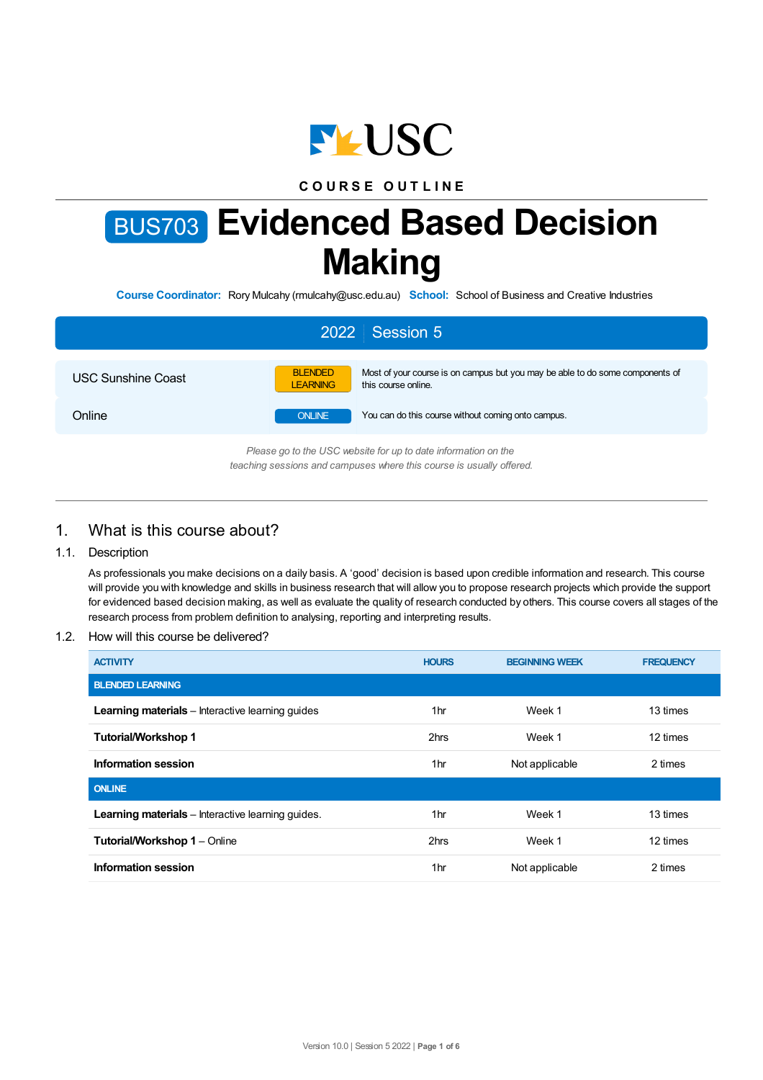

## **C O U R S E O U T L I N E**

# BUS703 **Evidenced Based Decision Making**

**Course Coordinator:** Rory Mulcahy (rmulcahy@usc.edu.au) **School:** School of Business and Creative Industries

| 2022 Session 5                                                                                                                         |                                                                                                                                           |  |  |  |
|----------------------------------------------------------------------------------------------------------------------------------------|-------------------------------------------------------------------------------------------------------------------------------------------|--|--|--|
| USC Sunshine Coast                                                                                                                     | <b>BLENDED</b><br>Most of your course is on campus but you may be able to do some components of<br><b>LEARNING</b><br>this course online. |  |  |  |
| Online                                                                                                                                 | You can do this course without coming onto campus.<br><b>ONLINE</b>                                                                       |  |  |  |
| Please go to the USC website for up to date information on the<br>teaching sessions and campuses where this course is usually offered. |                                                                                                                                           |  |  |  |

# 1. What is this course about?

#### 1.1. Description

As professionals you make decisions on a daily basis. A 'good' decision is based upon credible information and research. This course will provide you with knowledge and skills in business research that will allow you to propose research projects which provide the support for evidenced based decision making, as well as evaluate the quality of research conducted by others. This course covers all stages of the research process from problem definition to analysing, reporting and interpreting results.

#### 1.2. How will this course be delivered?

| <b>ACTIVITY</b>                                          | <b>HOURS</b>    | <b>BEGINNING WEEK</b> | <b>FREQUENCY</b> |
|----------------------------------------------------------|-----------------|-----------------------|------------------|
| <b>BLENDED LEARNING</b>                                  |                 |                       |                  |
| <b>Learning materials</b> – Interactive learning quides  | 1hr             | Week 1                | 13 times         |
| <b>Tutorial/Workshop 1</b>                               | 2hrs            | Week 1                | 12 times         |
| Information session                                      | 1hr             | Not applicable        | 2 times          |
| <b>ONLINE</b>                                            |                 |                       |                  |
| <b>Learning materials</b> – Interactive learning quides. | 1hr             | Week 1                | 13 times         |
| <b>Tutorial/Workshop 1 - Online</b>                      | 2hrs            | Week 1                | 12 times         |
| <b>Information session</b>                               | 1 <sub>hr</sub> | Not applicable        | 2 times          |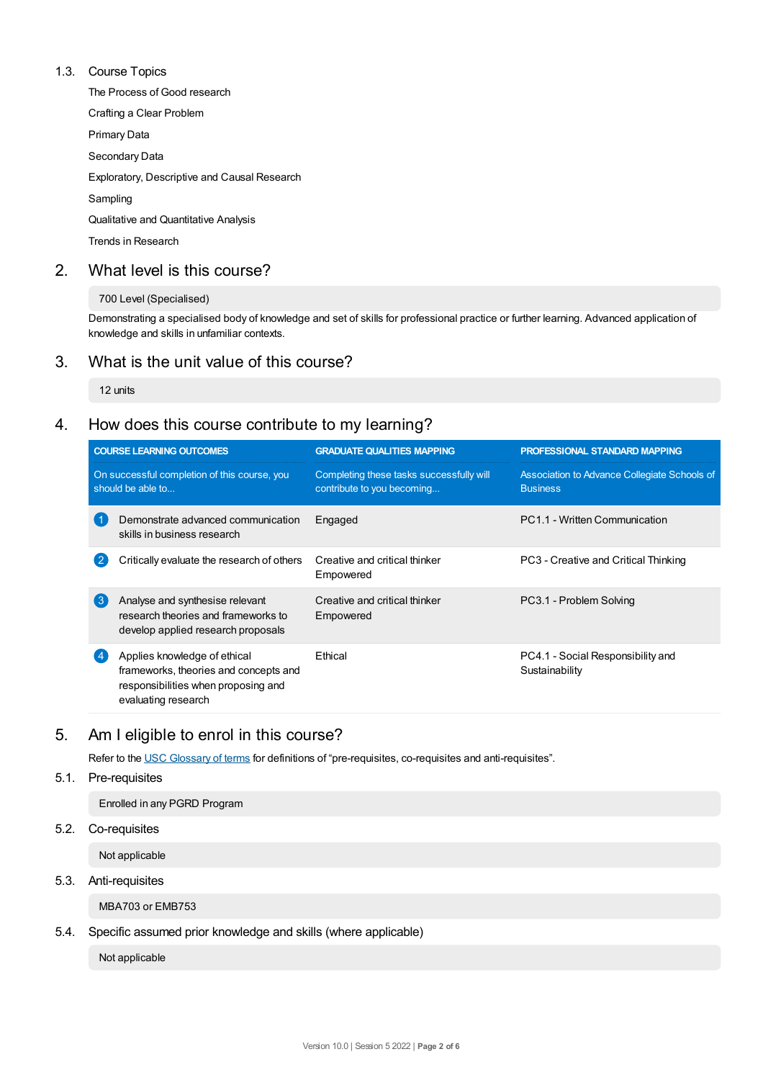### 1.3. Course Topics

The Process of Good research

Crafting a Clear Problem

Primary Data

Secondary Data

Exploratory, Descriptive and Causal Research

Sampling

Qualitative and Quantitative Analysis

Trends in Research

## 2. What level is this course?

#### 700 Level (Specialised)

Demonstrating a specialised body of knowledge and set of skills for professional practice or further learning. Advanced application of knowledge and skills in unfamiliar contexts.

## 3. What is the unit value of this course?

12 units

# 4. How does this course contribute to my learning?

| <b>COURSE LEARNING OUTCOMES</b>                                   |                                                                                                                                     | <b>GRADUATE QUALITIES MAPPING</b>                                      | <b>PROFESSIONAL STANDARD MAPPING</b>                            |  |
|-------------------------------------------------------------------|-------------------------------------------------------------------------------------------------------------------------------------|------------------------------------------------------------------------|-----------------------------------------------------------------|--|
| On successful completion of this course, you<br>should be able to |                                                                                                                                     | Completing these tasks successfully will<br>contribute to you becoming | Association to Advance Collegiate Schools of<br><b>Business</b> |  |
|                                                                   | Demonstrate advanced communication<br>skills in business research                                                                   | Engaged                                                                | PC1.1 - Written Communication                                   |  |
| $\mathbf{2}$                                                      | Critically evaluate the research of others                                                                                          | Creative and critical thinker<br>Empowered                             | PC3 - Creative and Critical Thinking                            |  |
| 3                                                                 | Analyse and synthesise relevant<br>research theories and frameworks to<br>develop applied research proposals                        | Creative and critical thinker<br>Empowered                             | PC3.1 - Problem Solving                                         |  |
|                                                                   | Applies knowledge of ethical<br>frameworks, theories and concepts and<br>responsibilities when proposing and<br>evaluating research | <b>F</b> thical                                                        | PC4.1 - Social Responsibility and<br>Sustainability             |  |

# 5. Am Ieligible to enrol in this course?

Refer to the USC [Glossary](https://www.usc.edu.au/about/policies-and-procedures/glossary-of-terms-for-policy-and-procedures) of terms for definitions of "pre-requisites, co-requisites and anti-requisites".

## 5.1. Pre-requisites

Enrolled in any PGRD Program

5.2. Co-requisites

Not applicable

## 5.3. Anti-requisites

MBA703 or EMB753

## 5.4. Specific assumed prior knowledge and skills (where applicable)

Not applicable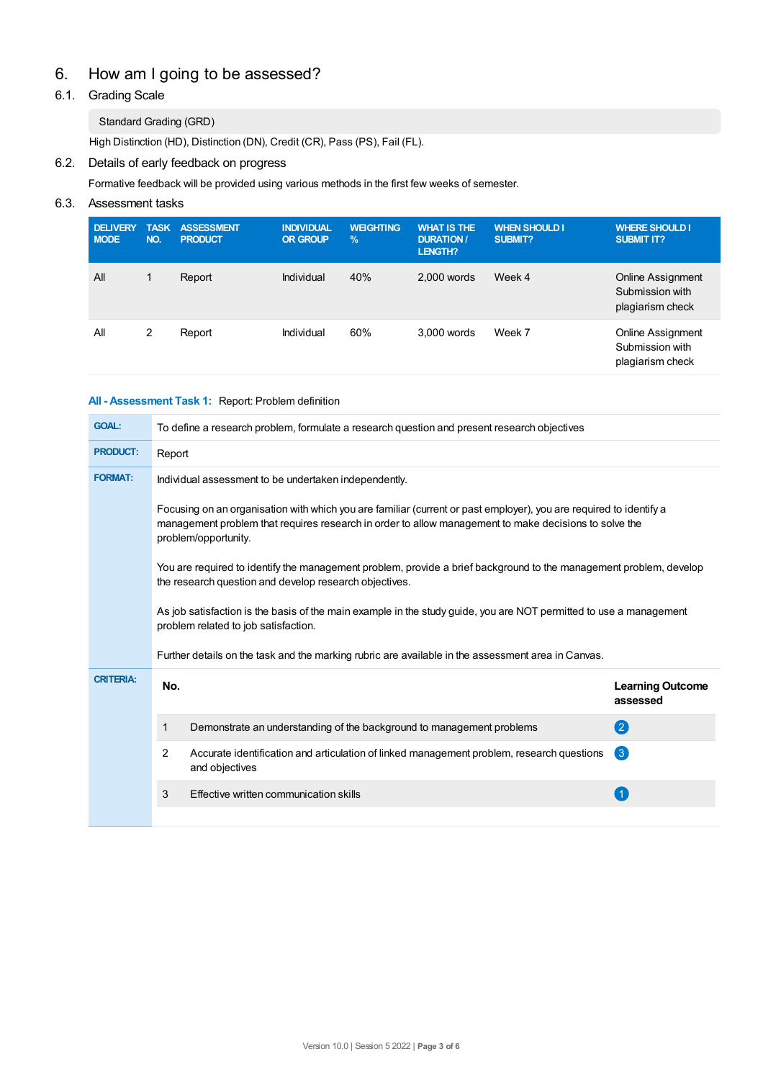# 6. How am Igoing to be assessed?

## 6.1. Grading Scale

## Standard Grading (GRD)

High Distinction (HD), Distinction (DN), Credit (CR), Pass (PS), Fail (FL).

## 6.2. Details of early feedback on progress

Formative feedback will be provided using various methods in the first few weeks of semester.

## 6.3. Assessment tasks

| <b>DELIVERY</b><br><b>MODE</b> | <b>TASK</b><br>NO. | <b>ASSESSMENT</b><br><b>PRODUCT</b> | <b>INDIVIDUAL</b><br><b>OR GROUP</b> | <b>WEIGHTING</b><br>$\frac{9}{6}$ | <b>WHAT IS THE</b><br><b>DURATION /</b><br>LENGTH? | <b>WHEN SHOULD I</b><br><b>SUBMIT?</b> | <b>WHERE SHOULD I</b><br><b>SUBMIT IT?</b>                      |
|--------------------------------|--------------------|-------------------------------------|--------------------------------------|-----------------------------------|----------------------------------------------------|----------------------------------------|-----------------------------------------------------------------|
| All                            | 1                  | Report                              | Individual                           | 40%                               | $2.000$ words                                      | Week 4                                 | Online Assignment<br>Submission with<br>plagiarism check        |
| All                            | 2                  | Report                              | Individual                           | 60%                               | 3.000 words                                        | Week 7                                 | <b>Online Assignment</b><br>Submission with<br>plagiarism check |

## **All - Assessment Task 1:** Report: Problem definition

| <b>GOAL:</b>                                                                                                                                                                 | To define a research problem, formulate a research question and present research objectives                                                                                                                                                         |                                                                                                             |                                     |  |  |  |
|------------------------------------------------------------------------------------------------------------------------------------------------------------------------------|-----------------------------------------------------------------------------------------------------------------------------------------------------------------------------------------------------------------------------------------------------|-------------------------------------------------------------------------------------------------------------|-------------------------------------|--|--|--|
| <b>PRODUCT:</b>                                                                                                                                                              | Report                                                                                                                                                                                                                                              |                                                                                                             |                                     |  |  |  |
| <b>FORMAT:</b>                                                                                                                                                               | Individual assessment to be undertaken independently.                                                                                                                                                                                               |                                                                                                             |                                     |  |  |  |
|                                                                                                                                                                              | Focusing on an organisation with which you are familiar (current or past employer), you are required to identify a<br>management problem that requires research in order to allow management to make decisions to solve the<br>problem/opportunity. |                                                                                                             |                                     |  |  |  |
| You are required to identify the management problem, provide a brief background to the management problem, develop<br>the research question and develop research objectives. |                                                                                                                                                                                                                                                     |                                                                                                             |                                     |  |  |  |
|                                                                                                                                                                              | As job satisfaction is the basis of the main example in the study guide, you are NOT permitted to use a management<br>problem related to job satisfaction.                                                                                          |                                                                                                             |                                     |  |  |  |
|                                                                                                                                                                              | Further details on the task and the marking rubric are available in the assessment area in Canvas.                                                                                                                                                  |                                                                                                             |                                     |  |  |  |
| <b>CRITERIA:</b>                                                                                                                                                             | No.                                                                                                                                                                                                                                                 |                                                                                                             | <b>Learning Outcome</b><br>assessed |  |  |  |
|                                                                                                                                                                              | 1                                                                                                                                                                                                                                                   | Demonstrate an understanding of the background to management problems                                       | (2)                                 |  |  |  |
|                                                                                                                                                                              | 2                                                                                                                                                                                                                                                   | Accurate identification and articulation of linked management problem, research questions<br>and objectives | 3                                   |  |  |  |
|                                                                                                                                                                              | 3                                                                                                                                                                                                                                                   | Effective written communication skills                                                                      |                                     |  |  |  |
|                                                                                                                                                                              |                                                                                                                                                                                                                                                     |                                                                                                             |                                     |  |  |  |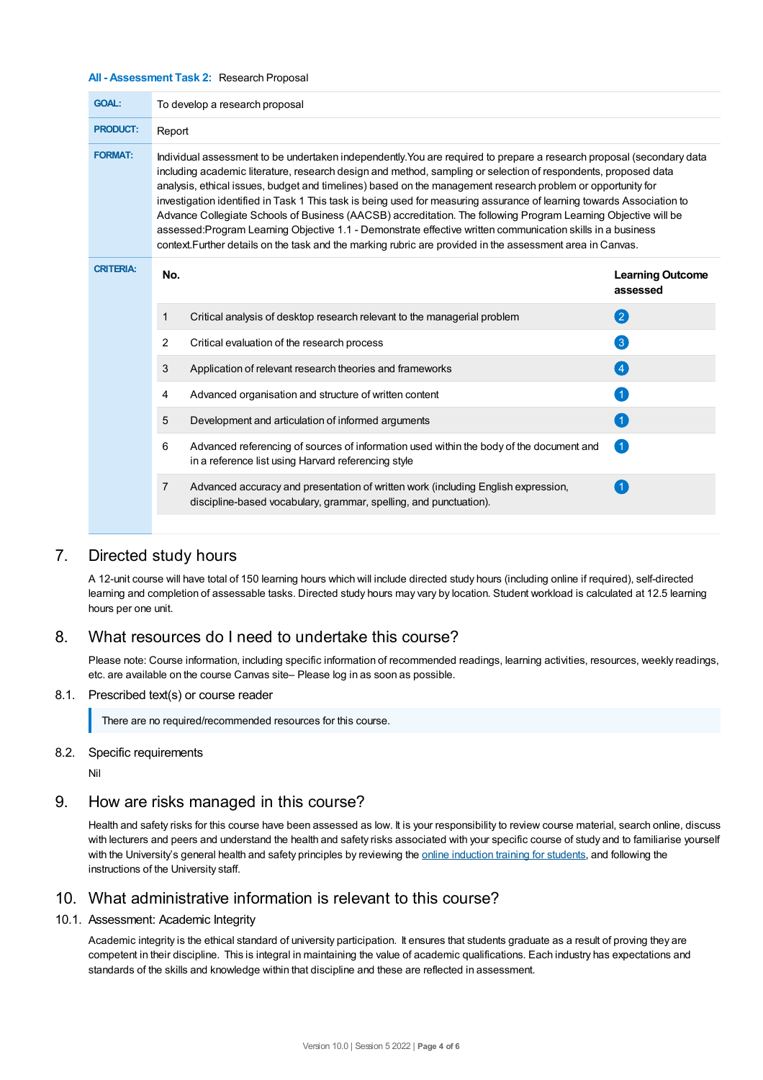#### **All - Assessment Task 2:** Research Proposal

| <b>GOAL:</b>     | To develop a research proposal                                                                                                                                                                                                                                                                                                                                                                                                                                                                                                                                                                                                                                                                                                                                                                                                |                                                                                                                                                        |                                     |  |  |  |  |
|------------------|-------------------------------------------------------------------------------------------------------------------------------------------------------------------------------------------------------------------------------------------------------------------------------------------------------------------------------------------------------------------------------------------------------------------------------------------------------------------------------------------------------------------------------------------------------------------------------------------------------------------------------------------------------------------------------------------------------------------------------------------------------------------------------------------------------------------------------|--------------------------------------------------------------------------------------------------------------------------------------------------------|-------------------------------------|--|--|--|--|
| <b>PRODUCT:</b>  |                                                                                                                                                                                                                                                                                                                                                                                                                                                                                                                                                                                                                                                                                                                                                                                                                               | Report                                                                                                                                                 |                                     |  |  |  |  |
| <b>FORMAT:</b>   | Individual assessment to be undertaken independently. You are required to prepare a research proposal (secondary data<br>including academic literature, research design and method, sampling or selection of respondents, proposed data<br>analysis, ethical issues, budget and timelines) based on the management research problem or opportunity for<br>investigation identified in Task 1 This task is being used for measuring assurance of learning towards Association to<br>Advance Collegiate Schools of Business (AACSB) accreditation. The following Program Learning Objective will be<br>assessed:Program Learning Objective 1.1 - Demonstrate effective written communication skills in a business<br>context. Further details on the task and the marking rubric are provided in the assessment area in Canvas. |                                                                                                                                                        |                                     |  |  |  |  |
| <b>CRITERIA:</b> | No.                                                                                                                                                                                                                                                                                                                                                                                                                                                                                                                                                                                                                                                                                                                                                                                                                           |                                                                                                                                                        | <b>Learning Outcome</b><br>assessed |  |  |  |  |
|                  | $\mathbf{1}$                                                                                                                                                                                                                                                                                                                                                                                                                                                                                                                                                                                                                                                                                                                                                                                                                  | Critical analysis of desktop research relevant to the managerial problem                                                                               | 2                                   |  |  |  |  |
|                  | 2                                                                                                                                                                                                                                                                                                                                                                                                                                                                                                                                                                                                                                                                                                                                                                                                                             | Critical evaluation of the research process                                                                                                            | $\left( 3\right)$                   |  |  |  |  |
|                  | 3                                                                                                                                                                                                                                                                                                                                                                                                                                                                                                                                                                                                                                                                                                                                                                                                                             | Application of relevant research theories and frameworks                                                                                               | (4)                                 |  |  |  |  |
|                  | 4                                                                                                                                                                                                                                                                                                                                                                                                                                                                                                                                                                                                                                                                                                                                                                                                                             | Advanced organisation and structure of written content                                                                                                 | $\left( 1 \right)$                  |  |  |  |  |
|                  | 5                                                                                                                                                                                                                                                                                                                                                                                                                                                                                                                                                                                                                                                                                                                                                                                                                             | Development and articulation of informed arguments                                                                                                     | $\blacksquare$                      |  |  |  |  |
|                  | 6                                                                                                                                                                                                                                                                                                                                                                                                                                                                                                                                                                                                                                                                                                                                                                                                                             | Advanced referencing of sources of information used within the body of the document and<br>in a reference list using Harvard referencing style         | Œ                                   |  |  |  |  |
|                  | 7                                                                                                                                                                                                                                                                                                                                                                                                                                                                                                                                                                                                                                                                                                                                                                                                                             | Advanced accuracy and presentation of written work (including English expression,<br>discipline-based vocabulary, grammar, spelling, and punctuation). |                                     |  |  |  |  |
|                  |                                                                                                                                                                                                                                                                                                                                                                                                                                                                                                                                                                                                                                                                                                                                                                                                                               |                                                                                                                                                        |                                     |  |  |  |  |

## 7. Directed study hours

A 12-unit course will have total of 150 learning hours which will include directed study hours (including online if required), self-directed learning and completion of assessable tasks. Directed study hours may vary by location. Student workload is calculated at 12.5 learning hours per one unit.

## 8. What resources do I need to undertake this course?

Please note: Course information, including specific information of recommended readings, learning activities, resources, weekly readings, etc. are available on the course Canvas site– Please log in as soon as possible.

#### 8.1. Prescribed text(s) or course reader

There are no required/recommended resources for this course.

#### 8.2. Specific requirements

Nil

## 9. How are risks managed in this course?

Health and safety risks for this course have been assessed as low. It is your responsibility to review course material, search online, discuss with lecturers and peers and understand the health and safety risks associated with your specific course of study and to familiarise yourself with the University's general health and safety principles by reviewing the online [induction](https://online.usc.edu.au/webapps/blackboard/content/listContentEditable.jsp?content_id=_632657_1&course_id=_14432_1) training for students, and following the instructions of the University staff.

# 10. What administrative information is relevant to this course?

#### 10.1. Assessment: Academic Integrity

Academic integrity is the ethical standard of university participation. It ensures that students graduate as a result of proving they are competent in their discipline. This is integral in maintaining the value of academic qualifications. Each industry has expectations and standards of the skills and knowledge within that discipline and these are reflected in assessment.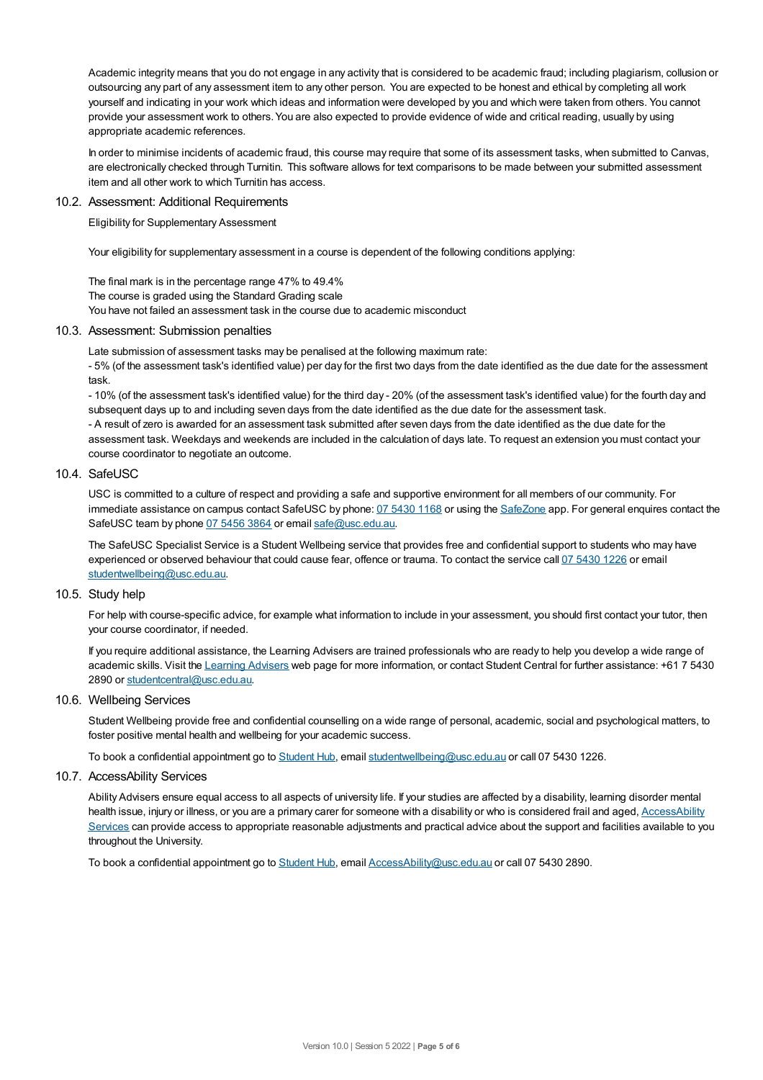Academic integrity means that you do not engage in any activity that is considered to be academic fraud; including plagiarism, collusion or outsourcing any part of any assessment item to any other person. You are expected to be honest and ethical by completing all work yourself and indicating in your work which ideas and information were developed by you and which were taken from others. You cannot provide your assessment work to others.You are also expected to provide evidence of wide and critical reading, usually by using appropriate academic references.

In order to minimise incidents of academic fraud, this course may require that some of its assessment tasks, when submitted to Canvas, are electronically checked through Turnitin. This software allows for text comparisons to be made between your submitted assessment item and all other work to which Turnitin has access.

#### 10.2. Assessment: Additional Requirements

Eligibility for Supplementary Assessment

Your eligibility for supplementary assessment in a course is dependent of the following conditions applying:

The final mark is in the percentage range 47% to 49.4% The course is graded using the Standard Grading scale You have not failed an assessment task in the course due to academic misconduct

#### 10.3. Assessment: Submission penalties

Late submission of assessment tasks may be penalised at the following maximum rate:

- 5% (of the assessment task's identified value) per day for the first two days from the date identified as the due date for the assessment task.

- 10% (of the assessment task's identified value) for the third day - 20% (of the assessment task's identified value) for the fourth day and subsequent days up to and including seven days from the date identified as the due date for the assessment task. - A result of zero is awarded for an assessment task submitted after seven days from the date identified as the due date for the assessment task. Weekdays and weekends are included in the calculation of days late. To request an extension you must contact your course coordinator to negotiate an outcome.

#### 10.4. SafeUSC

USC is committed to a culture of respect and providing a safe and supportive environment for all members of our community. For immediate assistance on campus contact SafeUSC by phone: 07 [5430](tel:07%205430%201168) 1168 or using the [SafeZone](https://www.safezoneapp.com) app. For general enquires contact the SafeUSC team by phone 07 [5456](tel:07%205456%203864) 3864 or email [safe@usc.edu.au](mailto:safe@usc.edu.au).

The SafeUSC Specialist Service is a Student Wellbeing service that provides free and confidential support to students who may have experienced or observed behaviour that could cause fear, offence or trauma. To contact the service call 07 [5430](tel:07%205430%201226) 1226 or email [studentwellbeing@usc.edu.au](mailto:studentwellbeing@usc.edu.au).

#### 10.5. Study help

For help with course-specific advice, for example what information to include in your assessment, you should first contact your tutor, then your course coordinator, if needed.

If you require additional assistance, the Learning Advisers are trained professionals who are ready to help you develop a wide range of academic skills. Visit the Learning [Advisers](https://www.usc.edu.au/current-students/student-support/academic-and-study-support/learning-advisers) web page for more information, or contact Student Central for further assistance: +61 7 5430 2890 or [studentcentral@usc.edu.au](mailto:studentcentral@usc.edu.au).

#### 10.6. Wellbeing Services

Student Wellbeing provide free and confidential counselling on a wide range of personal, academic, social and psychological matters, to foster positive mental health and wellbeing for your academic success.

To book a confidential appointment go to [Student](https://studenthub.usc.edu.au/) Hub, email [studentwellbeing@usc.edu.au](mailto:studentwellbeing@usc.edu.au) or call 07 5430 1226.

#### 10.7. AccessAbility Services

Ability Advisers ensure equal access to all aspects of university life. If your studies are affected by a disability, learning disorder mental health issue, injury or illness, or you are a primary carer for someone with a disability or who is considered frail and aged, [AccessAbility](https://www.usc.edu.au/learn/student-support/accessability-services/documentation-requirements) Services can provide access to appropriate reasonable adjustments and practical advice about the support and facilities available to you throughout the University.

To book a confidential appointment go to [Student](https://studenthub.usc.edu.au/) Hub, email [AccessAbility@usc.edu.au](mailto:AccessAbility@usc.edu.au) or call 07 5430 2890.